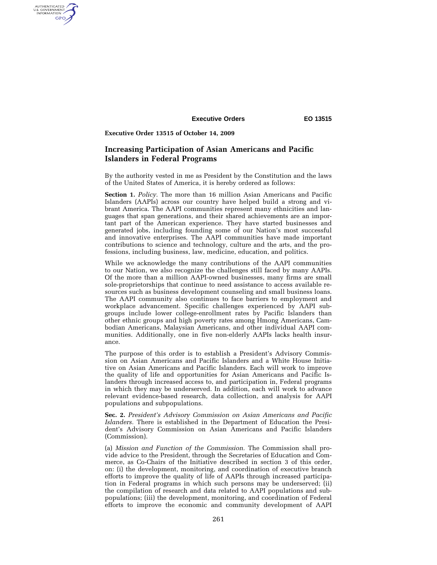## **Executive Orders EO 13515**

**Executive Order 13515 of October 14, 2009** 

AUTHENTICATED<br>U.S. GOVERNMENT<br>INFORMATION GPO

# **Increasing Participation of Asian Americans and Pacific Islanders in Federal Programs**

By the authority vested in me as President by the Constitution and the laws of the United States of America, it is hereby ordered as follows:

**Section 1.** *Policy.* The more than 16 million Asian Americans and Pacific Islanders (AAPIs) across our country have helped build a strong and vibrant America. The AAPI communities represent many ethnicities and languages that span generations, and their shared achievements are an important part of the American experience. They have started businesses and generated jobs, including founding some of our Nation's most successful and innovative enterprises. The AAPI communities have made important contributions to science and technology, culture and the arts, and the professions, including business, law, medicine, education, and politics.

While we acknowledge the many contributions of the AAPI communities to our Nation, we also recognize the challenges still faced by many AAPIs. Of the more than a million AAPI-owned businesses, many firms are small sole-proprietorships that continue to need assistance to access available resources such as business development counseling and small business loans. The AAPI community also continues to face barriers to employment and workplace advancement. Specific challenges experienced by AAPI subgroups include lower college-enrollment rates by Pacific Islanders than other ethnic groups and high poverty rates among Hmong Americans, Cambodian Americans, Malaysian Americans, and other individual AAPI communities. Additionally, one in five non-elderly AAPIs lacks health insurance.

The purpose of this order is to establish a President's Advisory Commission on Asian Americans and Pacific Islanders and a White House Initiative on Asian Americans and Pacific Islanders. Each will work to improve the quality of life and opportunities for Asian Americans and Pacific Islanders through increased access to, and participation in, Federal programs in which they may be underserved. In addition, each will work to advance relevant evidence-based research, data collection, and analysis for AAPI populations and subpopulations.

**Sec. 2.** *President's Advisory Commission on Asian Americans and Pacific Islanders.* There is established in the Department of Education the President's Advisory Commission on Asian Americans and Pacific Islanders (Commission).

(a) *Mission and Function of the Commission.* The Commission shall provide advice to the President, through the Secretaries of Education and Commerce, as Co-Chairs of the Initiative described in section 3 of this order, on: (i) the development, monitoring, and coordination of executive branch efforts to improve the quality of life of AAPIs through increased participation in Federal programs in which such persons may be underserved; (ii) the compilation of research and data related to AAPI populations and subpopulations; (iii) the development, monitoring, and coordination of Federal efforts to improve the economic and community development of AAPI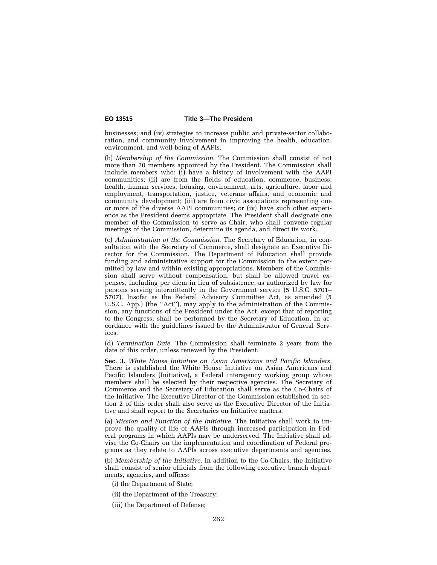### **EO 13515 Title 3—The President**

businesses; and (iv) strategies to increase public and private-sector collaboration, and community involvement in improving the health, education, environment, and well-being of AAPIs.

(b) *Membership of the Commission.* The Commission shall consist of not more than 20 members appointed by the President. The Commission shall include members who: (i) have a history of involvement with the AAPI communities; (ii) are from the fields of education, commerce, business, health, human services, housing, environment, arts, agriculture, labor and employment, transportation, justice, veterans affairs, and economic and community development; (iii) are from civic associations representing one or more of the diverse AAPI communities; or (iv) have such other experience as the President deems appropriate. The President shall designate one member of the Commission to serve as Chair, who shall convene regular meetings of the Commission, determine its agenda, and direct its work.

(c) *Administration of the Commission.* The Secretary of Education, in consultation with the Secretary of Commerce, shall designate an Executive Director for the Commission. The Department of Education shall provide funding and administrative support for the Commission to the extent permitted by law and within existing appropriations. Members of the Commission shall serve without compensation, but shall be allowed travel expenses, including per diem in lieu of subsistence, as authorized by law for persons serving intermittently in the Government service (5 U.S.C. 5701– 5707). Insofar as the Federal Advisory Committee Act, as amended (5 U.S.C. App.) (the "Act"), may apply to the administration of the Commission, any functions of the President under the Act, except that of reporting to the Congress, shall be performed by the Secretary of Education, in accordance with the guidelines issued by the Administrator of General Services.

(d) *Termination Date.* The Commission shall terminate 2 years from the date of this order, unless renewed by the President.

**Sec. 3.** *White House Initiative on Asian Americans and Pacific Islanders.*  There is established the White House Initiative on Asian Americans and Pacific Islanders (Initiative), a Federal interagency working group whose members shall be selected by their respective agencies. The Secretary of Commerce and the Secretary of Education shall serve as the Co-Chairs of the Initiative. The Executive Director of the Commission established in section 2 of this order shall also serve as the Executive Director of the Initiative and shall report to the Secretaries on Initiative matters.

(a) *Mission and Function of the Initiative.* The Initiative shall work to improve the quality of life of AAPIs through increased participation in Federal programs in which AAPIs may be underserved. The Initiative shall advise the Co-Chairs on the implementation and coordination of Federal programs as they relate to AAPIs across executive departments and agencies.

(b) *Membership of the Initiative.* In addition to the Co-Chairs, the Initiative shall consist of senior officials from the following executive branch departments, agencies, and offices:

- (i) the Department of State;
- (ii) the Department of the Treasury;
- (iii) the Department of Defense;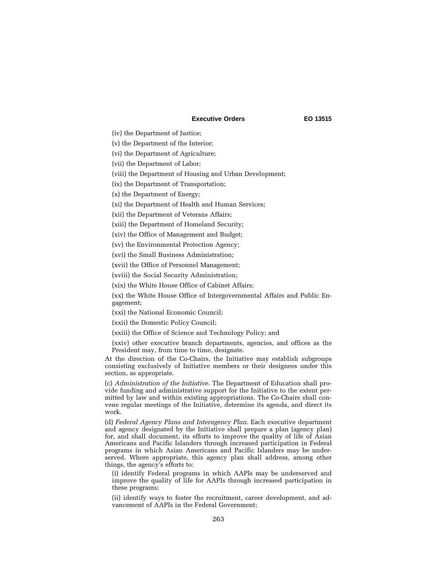# **Executive Orders EO 13515**

(iv) the Department of Justice;

(v) the Department of the Interior;

(vi) the Department of Agriculture;

(vii) the Department of Labor;

(viii) the Department of Housing and Urban Development;

(ix) the Department of Transportation;

(x) the Department of Energy;

(xi) the Department of Health and Human Services;

(xii) the Department of Veterans Affairs;

(xiii) the Department of Homeland Security;

(xiv) the Office of Management and Budget;

(xv) the Environmental Protection Agency;

(xvi) the Small Business Administration;

(xvii) the Office of Personnel Management;

(xviii) the Social Security Administration;

(xix) the White House Office of Cabinet Affairs;

(xx) the White House Office of Intergovernmental Affairs and Public Engagement;

(xxi) the National Economic Council;

(xxii) the Domestic Policy Council;

(xxiii) the Office of Science and Technology Policy; and

(xxiv) other executive branch departments, agencies, and offices as the President may, from time to time, designate.

At the direction of the Co-Chairs, the Initiative may establish subgroups consisting exclusively of Initiative members or their designees under this section, as appropriate.

(c) *Administration of the Initiative.* The Department of Education shall provide funding and administrative support for the Initiative to the extent permitted by law and within existing appropriations. The Co-Chairs shall convene regular meetings of the Initiative, determine its agenda, and direct its work.

(d) *Federal Agency Plans and Interagency Plan.* Each executive department and agency designated by the Initiative shall prepare a plan (agency plan) for, and shall document, its efforts to improve the quality of life of Asian Americans and Pacific Islanders through increased participation in Federal programs in which Asian Americans and Pacific Islanders may be underserved. Where appropriate, this agency plan shall address, among other things, the agency's efforts to:

(i) identify Federal programs in which AAPIs may be underserved and improve the quality of life for AAPIs through increased participation in these programs;

(ii) identify ways to foster the recruitment, career development, and advancement of AAPIs in the Federal Government;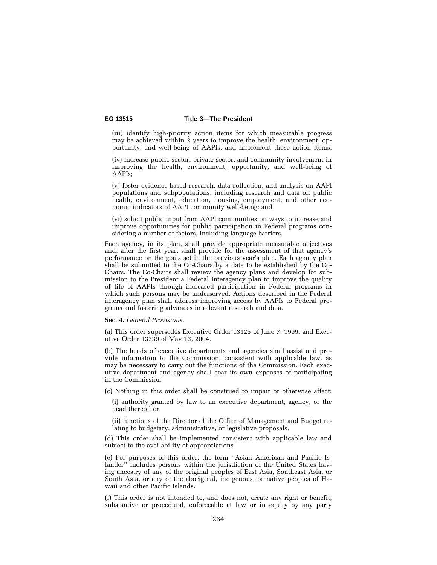### **EO 13515 Title 3—The President**

(iii) identify high-priority action items for which measurable progress may be achieved within 2 years to improve the health, environment, opportunity, and well-being of AAPIs, and implement those action items;

(iv) increase public-sector, private-sector, and community involvement in improving the health, environment, opportunity, and well-being of AAPIs;

(v) foster evidence-based research, data-collection, and analysis on AAPI populations and subpopulations, including research and data on public health, environment, education, housing, employment, and other economic indicators of AAPI community well-being; and

(vi) solicit public input from AAPI communities on ways to increase and improve opportunities for public participation in Federal programs considering a number of factors, including language barriers.

Each agency, in its plan, shall provide appropriate measurable objectives and, after the first year, shall provide for the assessment of that agency's performance on the goals set in the previous year's plan. Each agency plan shall be submitted to the Co-Chairs by a date to be established by the Co-Chairs. The Co-Chairs shall review the agency plans and develop for submission to the President a Federal interagency plan to improve the quality of life of AAPIs through increased participation in Federal programs in which such persons may be underserved. Actions described in the Federal interagency plan shall address improving access by AAPIs to Federal programs and fostering advances in relevant research and data.

### **Sec. 4.** *General Provisions.*

(a) This order supersedes Executive Order 13125 of June 7, 1999, and Executive Order 13339 of May 13, 2004.

(b) The heads of executive departments and agencies shall assist and provide information to the Commission, consistent with applicable law, as may be necessary to carry out the functions of the Commission. Each executive department and agency shall bear its own expenses of participating in the Commission.

(c) Nothing in this order shall be construed to impair or otherwise affect:

(i) authority granted by law to an executive department, agency, or the head thereof; or

(ii) functions of the Director of the Office of Management and Budget relating to budgetary, administrative, or legislative proposals.

(d) This order shall be implemented consistent with applicable law and subject to the availability of appropriations.

(e) For purposes of this order, the term ''Asian American and Pacific Islander'' includes persons within the jurisdiction of the United States having ancestry of any of the original peoples of East Asia, Southeast Asia, or South Asia, or any of the aboriginal, indigenous, or native peoples of Hawaii and other Pacific Islands.

(f) This order is not intended to, and does not, create any right or benefit, substantive or procedural, enforceable at law or in equity by any party